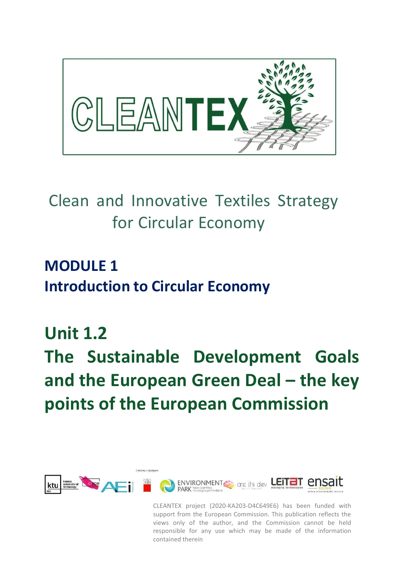

# Clean and Innovative Textiles Strategy for Circular Economy

**MODULE 1 Introduction to Circular Economy**

## **Unit 1.2**

# **The Sustainable Development Goals and the European Green Deal – the key points of the European Commission**



CLEANTEX project (2020-KA203-D4C649E6) has been funded with support from the European Commission. This publication reflects the views only of the author, and the Commission cannot be held responsible for any use which may be made of the information contained therein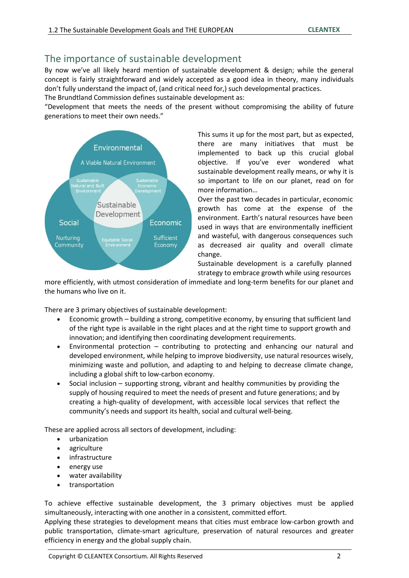## The importance of sustainable development

By now we've all likely heard mention of sustainable development & design; while the general concept is fairly straightforward and widely accepted as a good idea in theory, many individuals don't fully understand the impact of, (and critical need for,) such developmental practices.

The Brundtland Commission defines sustainable development as:

"Development that meets the needs of the present without compromising the ability of future generations to meet their own needs."



This sums it up for the most part, but as expected, there are many initiatives that must be implemented to back up this crucial global objective. If you've ever wondered what sustainable development really means, or why it is so important to life on our planet, read on for more information…

Over the past two decades in particular, economic growth has come at the expense of the environment. Earth's natural resources have been used in ways that are environmentally inefficient and wasteful, with dangerous consequences such as decreased air quality and overall climate change.

Sustainable development is a carefully planned strategy to embrace growth while using resources

more efficiently, with utmost consideration of immediate and long-term benefits for our planet and the humans who live on it.

There are 3 primary objectives of sustainable development:

- Economic growth building a strong, competitive economy, by ensuring that sufficient land of the right type is available in the right places and at the right time to support growth and innovation; and identifying then coordinating development requirements.
- Environmental protection contributing to protecting and enhancing our natural and developed environment, while helping to improve biodiversity, use natural resources wisely, minimizing waste and pollution, and adapting to and helping to decrease climate change, including a global shift to low-carbon economy.
- Social inclusion supporting strong, vibrant and healthy communities by providing the supply of housing required to meet the needs of present and future generations; and by creating a high-quality of development, with accessible local services that reflect the community's needs and support its health, social and cultural well-being.

These are applied across all sectors of development, including:

- urbanization
- agriculture
- infrastructure
- energy use
- water availability
- transportation

To achieve effective sustainable development, the 3 primary objectives must be applied simultaneously, interacting with one another in a consistent, committed effort.

Applying these strategies to development means that cities must embrace low-carbon growth and public transportation, climate-smart agriculture, preservation of natural resources and greater efficiency in energy and the global supply chain.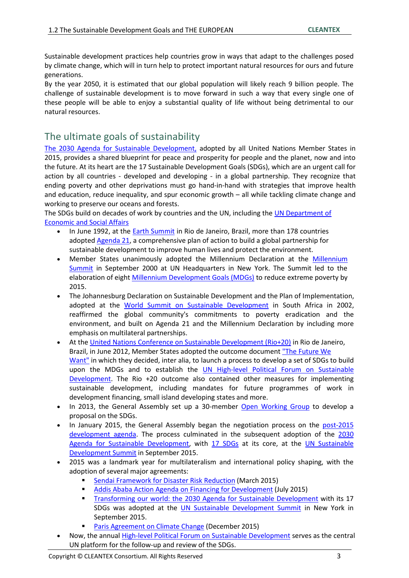Sustainable development practices help countries grow in ways that adapt to the challenges posed by climate change, which will in turn help to protect important natural resources for ours and future generations.

By the year 2050, it is estimated that our global population will likely reach 9 billion people. The challenge of sustainable development is to move forward in such a way that every single one of these people will be able to enjoy a substantial quality of life without being detrimental to our natural resources.

## The ultimate goals of sustainability

The 2030 Agenda for Sustainable Development, adopted by all United Nations Member States in 2015, provides a shared blueprint for peace and prosperity for people and the planet, now and into the future. At its heart are the 17 Sustainable Development Goals (SDGs), which are an urgent call for action by all countries - developed and developing - in a global partnership. They recognize that ending poverty and other deprivations must go hand-in-hand with strategies that improve health and education, reduce inequality, and spur economic growth – all while tackling climate change and working to preserve our oceans and forests.

The SDGs build on decades of work by countries and the UN, including the UN Department of Economic and Social Affairs

- In June 1992, at the Earth Summit in Rio de Janeiro, Brazil, more than 178 countries adopted Agenda 21, a comprehensive plan of action to build a global partnership for sustainable development to improve human lives and protect the environment.
- Member States unanimously adopted the Millennium Declaration at the Millennium Summit in September 2000 at UN Headquarters in New York. The Summit led to the elaboration of eight Millennium Development Goals (MDGs) to reduce extreme poverty by 2015.
- The Johannesburg Declaration on Sustainable Development and the Plan of Implementation, adopted at the World Summit on Sustainable Development in South Africa in 2002, reaffirmed the global community's commitments to poverty eradication and the environment, and built on Agenda 21 and the Millennium Declaration by including more emphasis on multilateral partnerships.
- At the United Nations Conference on Sustainable Development (Rio+20) in Rio de Janeiro, Brazil, in June 2012, Member States adopted the outcome document "The Future We Want" in which they decided, inter alia, to launch a process to develop a set of SDGs to build upon the MDGs and to establish the UN High-level Political Forum on Sustainable Development. The Rio +20 outcome also contained other measures for implementing sustainable development, including mandates for future programmes of work in development financing, small island developing states and more.
- In 2013, the General Assembly set up a 30-member Open Working Group to develop a proposal on the SDGs.
- In January 2015, the General Assembly began the negotiation process on the post-2015 development agenda. The process culminated in the subsequent adoption of the 2030 Agenda for Sustainable Development, with 17 SDGs at its core, at the UN Sustainable Development Summit in September 2015.
- 2015 was a landmark year for multilateralism and international policy shaping, with the adoption of several major agreements:
	- Sendai Framework for Disaster Risk Reduction (March 2015)
	- Addis Ababa Action Agenda on Financing for Development (July 2015)
	- **Transforming our world: the 2030 Agenda for Sustainable Development with its 17** SDGs was adopted at the UN Sustainable Development Summit in New York in September 2015.
	- Paris Agreement on Climate Change (December 2015)
- Now, the annual High-level Political Forum on Sustainable Development serves as the central UN platform for the follow-up and review of the SDGs.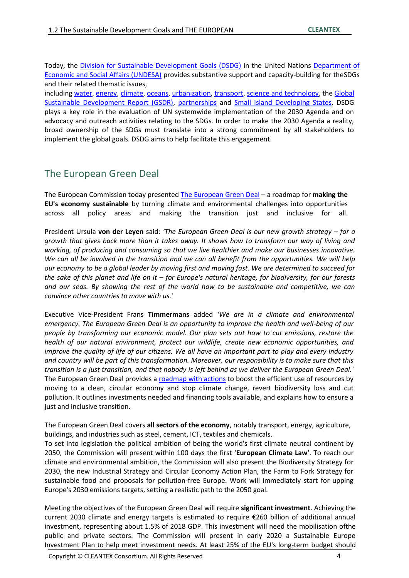Today, the Division for Sustainable Development Goals (DSDG) in the United Nations Department of Economic and Social Affairs (UNDESA) provides substantive support and capacity-building for theSDGs and their related thematic issues,

including water, energy, climate, oceans, urbanization, transport, science and technology, the Global Sustainable Development Report (GSDR), partnerships and Small Island Developing States. DSDG plays a key role in the evaluation of UN systemwide implementation of the 2030 Agenda and on advocacy and outreach activities relating to the SDGs. In order to make the 2030 Agenda a reality, broad ownership of the SDGs must translate into a strong commitment by all stakeholders to implement the global goals. DSDG aims to help facilitate this engagement.

## The European Green Deal

The European Commission today presented The European Green Deal – a roadmap for **making the EU's economy sustainable** by turning climate and environmental challenges into opportunities across all policy areas and making the transition just and inclusive for all.

President Ursula **von der Leyen** said: *'The European Green Deal is our new growth strategy – for a growth that gives back more than it takes away. It shows how to transform our way of living and working, of producing and consuming so that we live healthier and make our businesses innovative. We can all be involved in the transition and we can all benefit from the opportunities. We will help our economy to be a global leader by moving first and moving fast. We are determined to succeed for the sake of this planet and life on it – for Europe's natural heritage, for biodiversity, for our forests and our seas. By showing the rest of the world how to be sustainable and competitive, we can convince other countries to move with us.*'

Executive Vice-President Frans **Timmermans** added *'We are in a climate and environmental emergency. The European Green Deal is an opportunity to improve the health and well-being of our people by transforming our economic model. Our plan sets out how to cut emissions, restore the health of our natural environment, protect our wildlife, create new economic opportunities, and improve the quality of life of our citizens. We all have an important part to play and every industry and country will be part of this transformation. Moreover, our responsibility is to make sure that this transition is a just transition, and that nobody is left behind as we deliver the European Green Deal.'* The European Green Deal provides a roadmap with actions to boost the efficient use of resources by moving to a clean, circular economy and stop climate change, revert biodiversity loss and cut pollution. It outlines investments needed and financing tools available, and explains how to ensure a just and inclusive transition.

The European Green Deal covers **all sectors of the economy**, notably transport, energy, agriculture, buildings, and industries such as steel, cement, ICT, textiles and chemicals.

To set into legislation the political ambition of being the world's first climate neutral continent by 2050, the Commission will present within 100 days the first '**European Climate Law'**. To reach our climate and environmental ambition, the Commission will also present the Biodiversity Strategy for 2030, the new Industrial Strategy and Circular Economy Action Plan, the Farm to Fork Strategy for sustainable food and proposals for pollution-free Europe. Work will immediately start for upping Europe's 2030 emissions targets, setting a realistic path to the 2050 goal.

Meeting the objectives of the European Green Deal will require **significant investment**. Achieving the current 2030 climate and energy targets is estimated to require €260 billion of additional annual investment, representing about 1.5% of 2018 GDP. This investment will need the mobilisation ofthe public and private sectors. The Commission will present in early 2020 a Sustainable Europe Investment Plan to help meet investment needs. At least 25% of the EU's long-term budget should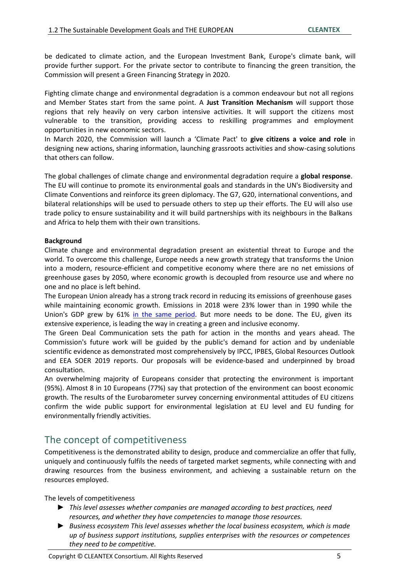be dedicated to climate action, and the European Investment Bank, Europe's climate bank, will provide further support. For the private sector to contribute to financing the green transition, the Commission will present a Green Financing Strategy in 2020.

Fighting climate change and environmental degradation is a common endeavour but not all regions and Member States start from the same point. A **Just Transition Mechanism** will support those regions that rely heavily on very carbon intensive activities. It will support the citizens most vulnerable to the transition, providing access to reskilling programmes and employment opportunities in new economic sectors.

In March 2020, the Commission will launch a 'Climate Pact' to **give citizens a voice and role** in designing new actions, sharing information, launching grassroots activities and show-casing solutions that others can follow.

The global challenges of climate change and environmental degradation require a **global response**. The EU will continue to promote its environmental goals and standards in the UN's Biodiversity and Climate Conventions and reinforce its green diplomacy. The G7, G20, international conventions, and bilateral relationships will be used to persuade others to step up their efforts. The EU will also use trade policy to ensure sustainability and it will build partnerships with its neighbours in the Balkans and Africa to help them with their own transitions.

#### **Background**

Climate change and environmental degradation present an existential threat to Europe and the world. To overcome this challenge, Europe needs a new growth strategy that transforms the Union into a modern, resource-efficient and competitive economy where there are no net emissions of greenhouse gases by 2050, where economic growth is decoupled from resource use and where no one and no place is left behind.

The European Union already has a strong track record in reducing its emissions of greenhouse gases while maintaining economic growth. Emissions in 2018 were 23% lower than in 1990 while the Union's GDP grew by 61% in the same period. But more needs to be done. The EU, given its extensive experience, is leading the way in creating a green and inclusive economy.

The Green Deal Communication sets the path for action in the months and years ahead. The Commission's future work will be guided by the public's demand for action and by undeniable scientific evidence as demonstrated most comprehensively by IPCC, IPBES, Global Resources Outlook and EEA SOER 2019 reports. Our proposals will be evidence-based and underpinned by broad consultation.

An overwhelming majority of Europeans consider that protecting the environment is important (95%). Almost 8 in 10 Europeans (77%) say that protection of the environment can boost economic growth. The results of the Eurobarometer survey concerning environmental attitudes of EU citizens confirm the wide public support for environmental legislation at EU level and EU funding for environmentally friendly activities.

## The concept of competitiveness

Competitiveness is the demonstrated ability to design, produce and commercialize an offer that fully, uniquely and continuously fulfils the needs of targeted market segments, while connecting with and drawing resources from the business environment, and achieving a sustainable return on the resources employed.

The levels of competitiveness

- ► *This level assesses whether companies are managed according to best practices, need resources, and whether they have competencies to manage those resources.*
- ► *Business ecosystem This level assesses whether the local business ecosystem, which is made up of business support institutions, supplies enterprises with the resources or competences they need to be competitive.*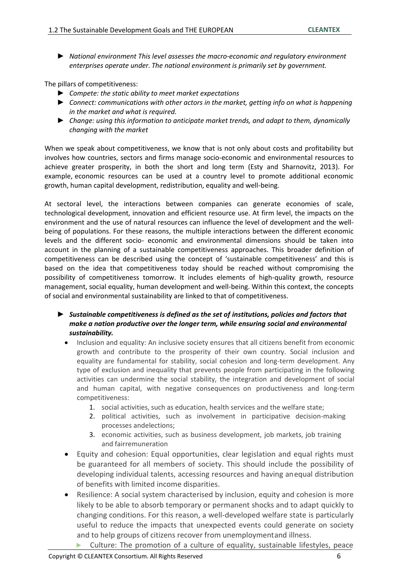► *National environment This level assesses the macro-economic and regulatory environment enterprises operate under. The national environment is primarily set by government.*

The pillars of competitiveness:

- ► *Compete: the static ability to meet market expectations*
- ► *Connect: communications with other actors in the market, getting info on what is happening in the market and what is required.*
- ► *Change: using this information to anticipate market trends, and adapt to them, dynamically changing with the market*

When we speak about competitiveness, we know that is not only about costs and profitability but involves how countries, sectors and firms manage socio-economic and environmental resources to achieve greater prosperity, in both the short and long term (Esty and Sharnovitz, 2013). For example, economic resources can be used at a country level to promote additional economic growth, human capital development, redistribution, equality and well-being.

At sectoral level, the interactions between companies can generate economies of scale, technological development, innovation and efficient resource use. At firm level, the impacts on the environment and the use of natural resources can influence the level of development and the wellbeing of populations. For these reasons, the multiple interactions between the different economic levels and the different socio- economic and environmental dimensions should be taken into account in the planning of a sustainable competitiveness approaches. This broader definition of competitiveness can be described using the concept of 'sustainable competitiveness' and this is based on the idea that competitiveness today should be reached without compromising the possibility of competitiveness tomorrow. It includes elements of high-quality growth, resource management, social equality, human development and well-being. Within this context, the concepts of social and environmental sustainability are linked to that of competitiveness.

- ► *Sustainable competitiveness is defined as the set of institutions, policies and factors that make a nation productive over the longer term, while ensuring social and environmental sustainability.*
	- Inclusion and equality: An inclusive society ensures that all citizens benefit from economic growth and contribute to the prosperity of their own country. Social inclusion and equality are fundamental for stability, social cohesion and long-term development. Any type of exclusion and inequality that prevents people from participating in the following activities can undermine the social stability, the integration and development of social and human capital, with negative consequences on productiveness and long-term competitiveness:
		- 1. social activities, such as education, health services and the welfare state;
		- 2. political activities, such as involvement in participative decision-making processes andelections;
		- 3. economic activities, such as business development, job markets, job training and fairremuneration
	- Equity and cohesion: Equal opportunities, clear legislation and equal rights must be guaranteed for all members of society. This should include the possibility of developing individual talents, accessing resources and having anequal distribution of benefits with limited income disparities.
	- Resilience: A social system characterised by inclusion, equity and cohesion is more likely to be able to absorb temporary or permanent shocks and to adapt quickly to changing conditions. For this reason, a well-developed welfare state is particularly useful to reduce the impacts that unexpected events could generate on society and to help groups of citizens recover from unemploymentand illness.
		- Culture: The promotion of a culture of equality, sustainable lifestyles, peace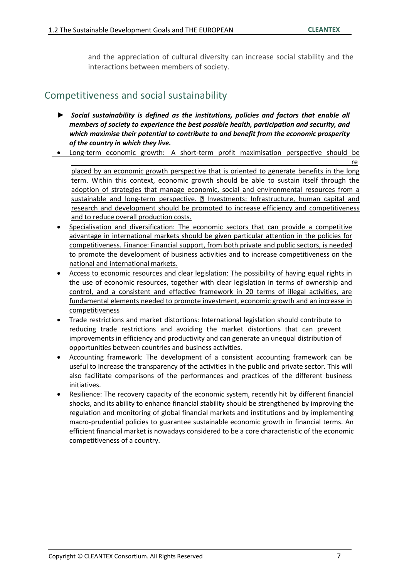and the appreciation of cultural diversity can increase social stability and the interactions between members of society.

### Competitiveness and social sustainability

- ► *Social sustainability is defined as the institutions, policies and factors that enable all members of society to experience the best possible health, participation and security, and which maximise their potential to contribute to and benefit from the economic prosperity of the country in which they live.*
- Long-term economic growth: A short-term profit maximisation perspective should be

re placed by an economic growth perspective that is oriented to generate benefits in the long term. Within this context, economic growth should be able to sustain itself through the adoption of strategies that manage economic, social and environmental resources from a sustainable and long-term perspective. **I** Investments: Infrastructure, human capital and research and development should be promoted to increase efficiency and competitiveness and to reduce overall production costs.

- Specialisation and diversification: The economic sectors that can provide a competitive advantage in international markets should be given particular attention in the policies for competitiveness. Finance: Financial support, from both private and public sectors, is needed to promote the development of business activities and to increase competitiveness on the national and international markets.
- Access to economic resources and clear legislation: The possibility of having equal rights in the use of economic resources, together with clear legislation in terms of ownership and control, and a consistent and effective framework in 20 terms of illegal activities, are fundamental elements needed to promote investment, economic growth and an increase in competitiveness
- Trade restrictions and market distortions: International legislation should contribute to reducing trade restrictions and avoiding the market distortions that can prevent improvements in efficiency and productivity and can generate an unequal distribution of opportunities between countries and business activities.
- Accounting framework: The development of a consistent accounting framework can be useful to increase the transparency of the activities in the public and private sector. This will also facilitate comparisons of the performances and practices of the different business initiatives.
- Resilience: The recovery capacity of the economic system, recently hit by different financial shocks, and its ability to enhance financial stability should be strengthened by improving the regulation and monitoring of global financial markets and institutions and by implementing macro-prudential policies to guarantee sustainable economic growth in financial terms. An efficient financial market is nowadays considered to be a core characteristic of the economic competitiveness of a country.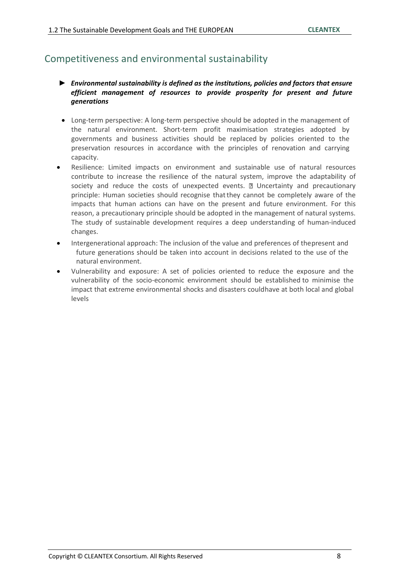## Competitiveness and environmental sustainability

- ► *Environmental sustainability is defined as the institutions, policies and factors that ensure efficient management of resources to provide prosperity for present and future generations*
- Long-term perspective: A long-term perspective should be adopted in the management of the natural environment. Short-term profit maximisation strategies adopted by governments and business activities should be replaced by policies oriented to the preservation resources in accordance with the principles of renovation and carrying capacity.
- Resilience: Limited impacts on environment and sustainable use of natural resources contribute to increase the resilience of the natural system, improve the adaptability of society and reduce the costs of unexpected events.  $\mathbb D$  Uncertainty and precautionary principle: Human societies should recognise thatthey cannot be completely aware of the impacts that human actions can have on the present and future environment. For this reason, a precautionary principle should be adopted in the management of natural systems. The study of sustainable development requires a deep understanding of human-induced changes.
- Intergenerational approach: The inclusion of the value and preferences of thepresent and future generations should be taken into account in decisions related to the use of the natural environment.
- Vulnerability and exposure: A set of policies oriented to reduce the exposure and the vulnerability of the socio-economic environment should be established to minimise the impact that extreme environmental shocks and disasters couldhave at both local and global levels